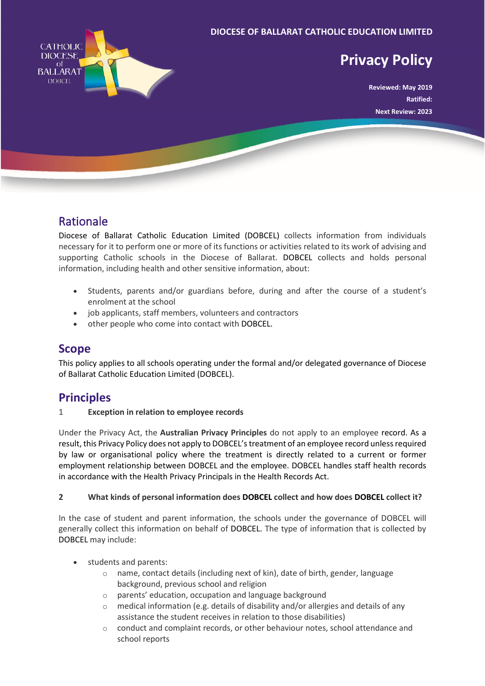

# Rationale

Diocese of Ballarat Catholic Education Limited (DOBCEL) collects information from individuals necessary for it to perform one or more of its functions or activities related to its work of advising and supporting Catholic schools in the Diocese of Ballarat. DOBCEL collects and holds personal information, including health and other sensitive information, about:

- Students, parents and/or guardians before, during and after the course of a student's enrolment at the school
- job applicants, staff members, volunteers and contractors
- other people who come into contact with DOBCEL.

## **Scope**

This policy applies to all schools operating under the formal and/or delegated governance of Diocese of Ballarat Catholic Education Limited (DOBCEL).

## **Principles**

1 **Exception in relation to employee records**

Under the Privacy Act, the **Australian Privacy Principles** do not apply to an employee record. As a result, this Privacy Policy does not apply to DOBCEL's treatment of an employee record unless required by law or organisational policy where the treatment is directly related to a current or former employment relationship between DOBCEL and the employee. DOBCEL handles staff health records in accordance with the Health Privacy Principals in the Health Records Act.

## **2 What kinds of personal information does DOBCEL collect and how does DOBCEL collect it?**

In the case of student and parent information, the schools under the governance of DOBCEL will generally collect this information on behalf of DOBCEL. The type of information that is collected by DOBCEL may include:

- students and parents:
	- $\circ$  name, contact details (including next of kin), date of birth, gender, language background, previous school and religion
	- o parents' education, occupation and language background
	- o medical information (e.g. details of disability and/or allergies and details of any assistance the student receives in relation to those disabilities)
	- conduct and complaint records, or other behaviour notes, school attendance and school reports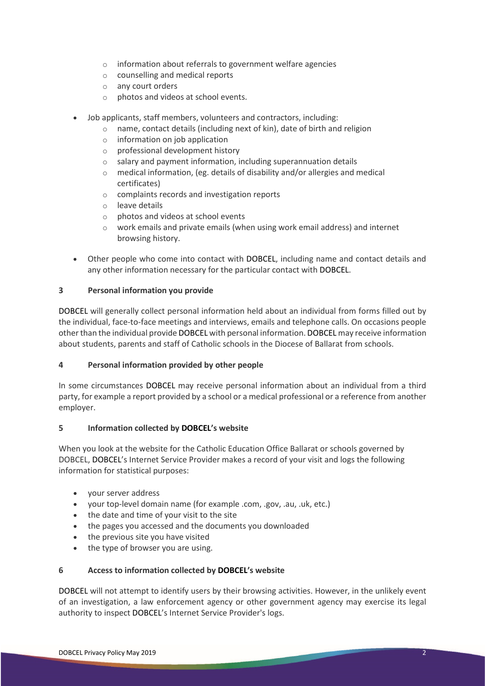- o information about referrals to government welfare agencies
- o counselling and medical reports
- o any court orders
- o photos and videos at school events.
- Job applicants, staff members, volunteers and contractors, including:
	- o name, contact details (including next of kin), date of birth and religion
	- o information on job application
	- o professional development history
	- o salary and payment information, including superannuation details
	- o medical information, (eg. details of disability and/or allergies and medical certificates)
	- o complaints records and investigation reports
	- o leave details
	- o photos and videos at school events
	- o work emails and private emails (when using work email address) and internet browsing history.
- Other people who come into contact with DOBCEL, including name and contact details and any other information necessary for the particular contact with DOBCEL.

#### **3 Personal information you provide**

DOBCEL will generally collect personal information held about an individual from forms filled out by the individual, face-to-face meetings and interviews, emails and telephone calls. On occasions people other than the individual provide DOBCEL with personal information. DOBCEL may receive information about students, parents and staff of Catholic schools in the Diocese of Ballarat from schools.

#### **4 Personal information provided by other people**

In some circumstances DOBCEL may receive personal information about an individual from a third party, for example a report provided by a school or a medical professional or a reference from another employer.

#### **5 Information collected by DOBCEL's website**

When you look at the website for the Catholic Education Office Ballarat or schools governed by DOBCEL, DOBCEL's Internet Service Provider makes a record of your visit and logs the following information for statistical purposes:

- your server address
- your top-level domain name (for example .com, .gov, .au, .uk, etc.)
- the date and time of your visit to the site
- the pages you accessed and the documents you downloaded
- the previous site you have visited
- the type of browser you are using.

#### **6 Access to information collected by DOBCEL's website**

DOBCEL will not attempt to identify users by their browsing activities. However, in the unlikely event of an investigation, a law enforcement agency or other government agency may exercise its legal authority to inspect DOBCEL's Internet Service Provider's logs.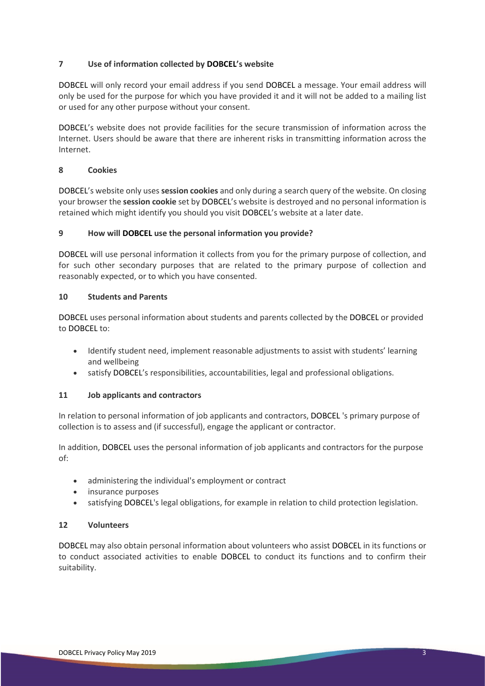## **7 Use of information collected by DOBCEL's website**

DOBCEL will only record your email address if you send DOBCEL a message. Your email address will only be used for the purpose for which you have provided it and it will not be added to a mailing list or used for any other purpose without your consent.

DOBCEL's website does not provide facilities for the secure transmission of information across the Internet. Users should be aware that there are inherent risks in transmitting information across the Internet.

### **8 Cookies**

DOBCEL's website only uses **session cookies** and only during a search query of the website. On closing your browser the **session cookie** set by DOBCEL's website is destroyed and no personal information is retained which might identify you should you visit DOBCEL's website at a later date.

### **9 How will DOBCEL use the personal information you provide?**

DOBCEL will use personal information it collects from you for the primary purpose of collection, and for such other secondary purposes that are related to the primary purpose of collection and reasonably expected, or to which you have consented.

#### **10 Students and Parents**

DOBCEL uses personal information about students and parents collected by the DOBCEL or provided to DOBCEL to:

- Identify student need, implement reasonable adjustments to assist with students' learning and wellbeing
- satisfy DOBCEL's responsibilities, accountabilities, legal and professional obligations.

## **11 Job applicants and contractors**

In relation to personal information of job applicants and contractors, DOBCEL 's primary purpose of collection is to assess and (if successful), engage the applicant or contractor.

In addition, DOBCEL uses the personal information of job applicants and contractors for the purpose of:

- administering the individual's employment or contract
- insurance purposes
- satisfying DOBCEL's legal obligations, for example in relation to child protection legislation.

#### **12 Volunteers**

DOBCEL may also obtain personal information about volunteers who assist DOBCEL in its functions or to conduct associated activities to enable DOBCEL to conduct its functions and to confirm their suitability.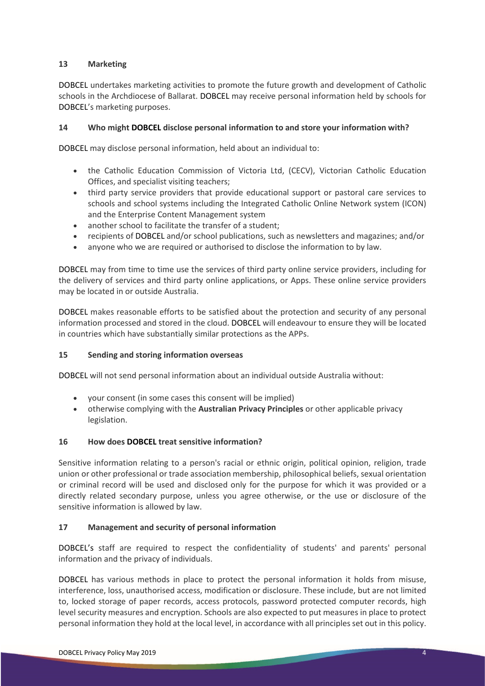#### **13 Marketing**

DOBCEL undertakes marketing activities to promote the future growth and development of Catholic schools in the Archdiocese of Ballarat. DOBCEL may receive personal information held by schools for DOBCEL's marketing purposes.

### **14 Who might DOBCEL disclose personal information to and store your information with?**

DOBCEL may disclose personal information, held about an individual to:

- the Catholic Education Commission of Victoria Ltd, (CECV), Victorian Catholic Education Offices, and specialist visiting teachers;
- third party service providers that provide educational support or pastoral care services to schools and school systems including the Integrated Catholic Online Network system (ICON) and the Enterprise Content Management system
- another school to facilitate the transfer of a student;
- recipients of DOBCEL and/or school publications, such as newsletters and magazines; and/or
- anyone who we are required or authorised to disclose the information to by law.

DOBCEL may from time to time use the services of third party online service providers, including for the delivery of services and third party online applications, or Apps. These online service providers may be located in or outside Australia.

DOBCEL makes reasonable efforts to be satisfied about the protection and security of any personal information processed and stored in the cloud. DOBCEL will endeavour to ensure they will be located in countries which have substantially similar protections as the APPs.

#### **15 Sending and storing information overseas**

DOBCEL will not send personal information about an individual outside Australia without:

- your consent (in some cases this consent will be implied)
- otherwise complying with the **Australian Privacy Principles** or other applicable privacy legislation.

#### **16 How does DOBCEL treat sensitive information?**

Sensitive information relating to a person's racial or ethnic origin, political opinion, religion, trade union or other professional or trade association membership, philosophical beliefs, sexual orientation or criminal record will be used and disclosed only for the purpose for which it was provided or a directly related secondary purpose, unless you agree otherwise, or the use or disclosure of the sensitive information is allowed by law.

## **17 Management and security of personal information**

DOBCEL's staff are required to respect the confidentiality of students' and parents' personal information and the privacy of individuals.

DOBCEL has various methods in place to protect the personal information it holds from misuse, interference, loss, unauthorised access, modification or disclosure. These include, but are not limited to, locked storage of paper records, access protocols, password protected computer records, high level security measures and encryption. Schools are also expected to put measures in place to protect personal information they hold at the local level, in accordance with all principles set out in this policy.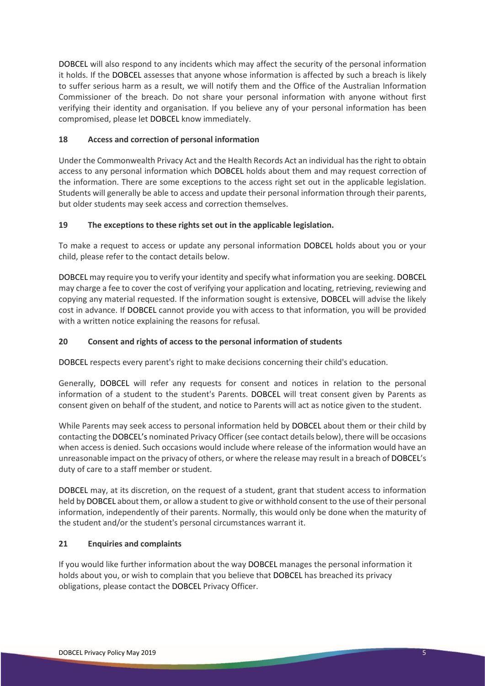DOBCEL will also respond to any incidents which may affect the security of the personal information it holds. If the DOBCEL assesses that anyone whose information is affected by such a breach is likely to suffer serious harm as a result, we will notify them and the Office of the Australian Information Commissioner of the breach. Do not share your personal information with anyone without first verifying their identity and organisation. If you believe any of your personal information has been compromised, please let DOBCEL know immediately.

## **18 Access and correction of personal information**

Under the Commonwealth Privacy Act and the Health Records Act an individual has the right to obtain access to any personal information which DOBCEL holds about them and may request correction of the information. There are some exceptions to the access right set out in the applicable legislation. Students will generally be able to access and update their personal information through their parents, but older students may seek access and correction themselves.

### **19 The exceptions to these rights set out in the applicable legislation.**

To make a request to access or update any personal information DOBCEL holds about you or your child, please refer to the contact details below.

DOBCEL may require you to verify your identity and specify what information you are seeking. DOBCEL may charge a fee to cover the cost of verifying your application and locating, retrieving, reviewing and copying any material requested. If the information sought is extensive, DOBCEL will advise the likely cost in advance. If DOBCEL cannot provide you with access to that information, you will be provided with a written notice explaining the reasons for refusal.

## **20 Consent and rights of access to the personal information of students**

DOBCEL respects every parent's right to make decisions concerning their child's education.

Generally, DOBCEL will refer any requests for consent and notices in relation to the personal information of a student to the student's Parents. DOBCEL will treat consent given by Parents as consent given on behalf of the student, and notice to Parents will act as notice given to the student.

While Parents may seek access to personal information held by DOBCEL about them or their child by contacting the DOBCEL's nominated Privacy Officer (see contact details below), there will be occasions when access is denied. Such occasions would include where release of the information would have an unreasonable impact on the privacy of others, or where the release may result in a breach of DOBCEL's duty of care to a staff member or student.

DOBCEL may, at its discretion, on the request of a student, grant that student access to information held by DOBCEL about them, or allow a student to give or withhold consent to the use of their personal information, independently of their parents. Normally, this would only be done when the maturity of the student and/or the student's personal circumstances warrant it.

#### **21 Enquiries and complaints**

If you would like further information about the way DOBCEL manages the personal information it holds about you, or wish to complain that you believe that DOBCEL has breached its privacy obligations, please contact the DOBCEL Privacy Officer.